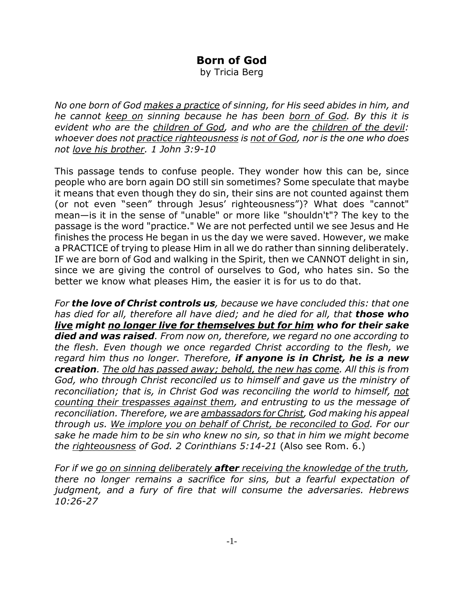## **Born of God**

by Tricia Berg

*No one born of God makes a practice of sinning, for His seed abides in him, and he cannot keep on sinning because he has been born of God. By this it is evident who are the children of God, and who are the children of the devil: whoever does not practice righteousness is not of God, nor is the one who does not love his brother. 1 John 3:9-10*

This passage tends to confuse people. They wonder how this can be, since people who are born again DO still sin sometimes? Some speculate that maybe it means that even though they do sin, their sins are not counted against them (or not even "seen" through Jesus' righteousness")? What does "cannot" mean—is it in the sense of "unable" or more like "shouldn't"? The key to the passage is the word "practice." We are not perfected until we see Jesus and He finishes the process He began in us the day we were saved. However, we make a PRACTICE of trying to please Him in all we do rather than sinning deliberately. IF we are born of God and walking in the Spirit, then we CANNOT delight in sin, since we are giving the control of ourselves to God, who hates sin. So the better we know what pleases Him, the easier it is for us to do that.

*For the love of Christ controls us, because we have concluded this: that one has died for all, therefore all have died; and he died for all, that those who live might no longer live for themselves but for him who for their sake died and was raised. From now on, therefore, we regard no one according to the flesh. Even though we once regarded Christ according to the flesh, we regard him thus no longer. Therefore, if anyone is in Christ, he is a new creation. The old has passed away; behold, the new has come. All this is from God, who through Christ reconciled us to himself and gave us the ministry of reconciliation; that is, in Christ God was reconciling the world to himself, not counting their trespasses against them, and entrusting to us the message of reconciliation. Therefore, we are ambassadors for Christ, God making his appeal through us. We implore you on behalf of Christ, be reconciled to God. For our sake he made him to be sin who knew no sin, so that in him we might become the righteousness of God. 2 Corinthians 5:14-21* (Also see Rom. 6.)

*For if we go on sinning deliberately after receiving the knowledge of the truth, there no longer remains a sacrifice for sins, but a fearful expectation of judgment, and a fury of fire that will consume the adversaries. Hebrews 10:26-27*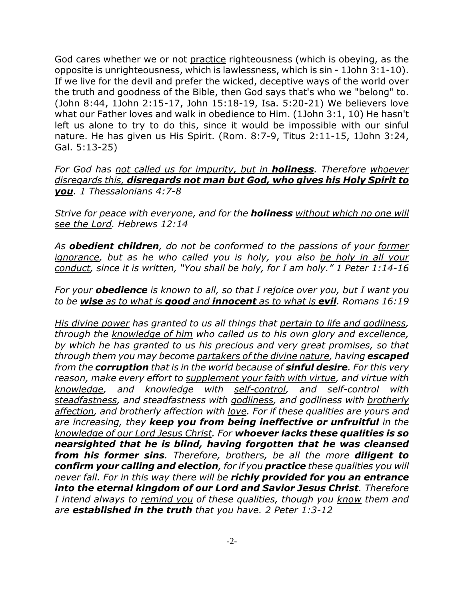God cares whether we or not practice righteousness (which is obeying, as the opposite is unrighteousness, which is lawlessness, which is sin - 1John 3:1-10). If we live for the devil and prefer the wicked, deceptive ways of the world over the truth and goodness of the Bible, then God says that's who we "belong" to. (John 8:44, 1John 2:15-17, John 15:18-19, Isa. 5:20-21) We believers love what our Father loves and walk in obedience to Him. (1John 3:1, 10) He hasn't left us alone to try to do this, since it would be impossible with our sinful nature. He has given us His Spirit. (Rom. 8:7-9, Titus 2:11-15, 1John 3:24, Gal. 5:13-25)

*For God has not called us for impurity, but in holiness. Therefore whoever disregards this, disregards not man but God, who gives his Holy Spirit to you. 1 Thessalonians 4:7-8*

*Strive for peace with everyone, and for the holiness without which no one will see the Lord. Hebrews 12:14*

*As obedient children, do not be conformed to the passions of your former ignorance, but as he who called you is holy, you also be holy in all your conduct, since it is written, "You shall be holy, for I am holy." 1 Peter 1:14-16*

*For your obedience is known to all, so that I rejoice over you, but I want you to be wise as to what is good and innocent as to what is evil. Romans 16:19*

*His divine power has granted to us all things that pertain to life and godliness, through the knowledge of him who called us to his own glory and excellence, by which he has granted to us his precious and very great promises, so that through them you may become partakers of the divine nature, having escaped from the corruption that is in the world because of sinful desire. For this very reason, make every effort to supplement your faith with virtue, and virtue with knowledge, and knowledge with self-control, and self-control with steadfastness, and steadfastness with godliness, and godliness with brotherly affection, and brotherly affection with love. For if these qualities are yours and are increasing, they keep you from being ineffective or unfruitful in the knowledge of our Lord Jesus Christ. For whoever lacks these qualities is so nearsighted that he is blind, having forgotten that he was cleansed from his former sins. Therefore, brothers, be all the more diligent to confirm your calling and election, for if you practice these qualities you will never fall. For in this way there will be richly provided for you an entrance into the eternal kingdom of our Lord and Savior Jesus Christ. Therefore I intend always to remind you of these qualities, though you know them and are established in the truth that you have. 2 Peter 1:3-12*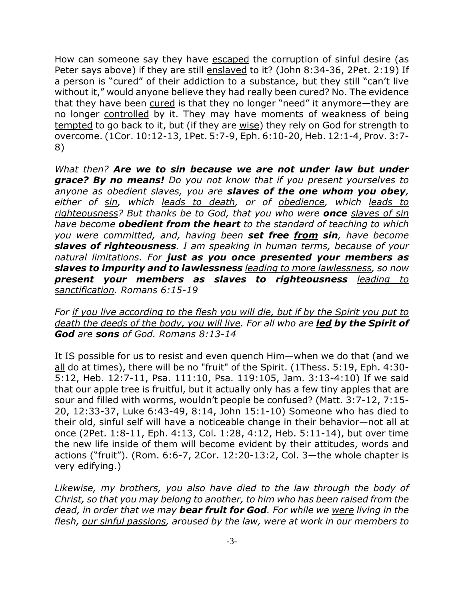How can someone say they have escaped the corruption of sinful desire (as Peter says above) if they are still enslaved to it? (John 8:34-36, 2Pet. 2:19) If a person is "cured" of their addiction to a substance, but they still "can't live without it," would anyone believe they had really been cured? No. The evidence that they have been cured is that they no longer "need" it anymore-they are no longer controlled by it. They may have moments of weakness of being tempted to go back to it, but (if they are wise) they rely on God for strength to overcome. (1Cor. 10:12-13, 1Pet. 5:7-9, Eph. 6:10-20, Heb. 12:1-4, Prov. 3:7- 8)

*What then? Are we to sin because we are not under law but under grace? By no means! Do you not know that if you present yourselves to anyone as obedient slaves, you are slaves of the one whom you obey, either of sin, which leads to death, or of obedience, which leads to righteousness? But thanks be to God, that you who were once slaves of sin have become obedient from the heart to the standard of teaching to which you were committed, and, having been set free from sin, have become slaves of righteousness. I am speaking in human terms, because of your natural limitations. For just as you once presented your members as slaves to impurity and to lawlessness leading to more lawlessness, so now present your members as slaves to righteousness leading to sanctification. Romans 6:15-19*

*For if you live according to the flesh you will die, but if by the Spirit you put to death the deeds of the body, you will live. For all who are led by the Spirit of God are sons of God. Romans 8:13-14*

It IS possible for us to resist and even quench Him—when we do that (and we all do at times), there will be no "fruit" of the Spirit. (1Thess. 5:19, Eph. 4:30- 5:12, Heb. 12:7-11, Psa. 111:10, Psa. 119:105, Jam. 3:13-4:10) If we said that our apple tree is fruitful, but it actually only has a few tiny apples that are sour and filled with worms, wouldn't people be confused? (Matt. 3:7-12, 7:15- 20, 12:33-37, Luke 6:43-49, 8:14, John 15:1-10) Someone who has died to their old, sinful self will have a noticeable change in their behavior—not all at once (2Pet. 1:8-11, Eph. 4:13, Col. 1:28, 4:12, Heb. 5:11-14), but over time the new life inside of them will become evident by their attitudes, words and actions ("fruit"). (Rom. 6:6-7, 2Cor. 12:20-13:2, Col. 3—the whole chapter is very edifying.)

*Likewise, my brothers, you also have died to the law through the body of Christ, so that you may belong to another, to him who has been raised from the dead, in order that we may bear fruit for God. For while we were living in the flesh, our sinful passions, aroused by the law, were at work in our members to*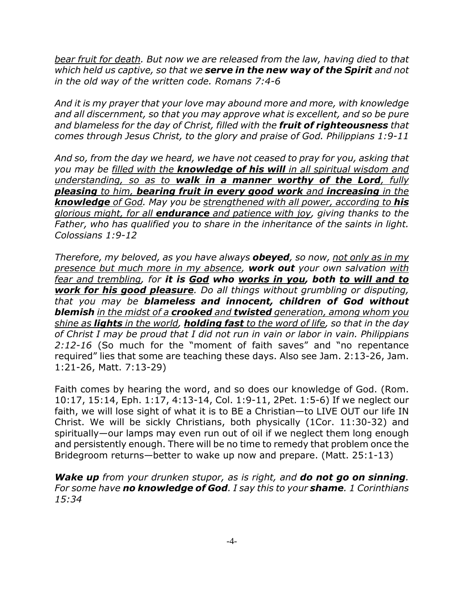*bear fruit for death. But now we are released from the law, having died to that which held us captive, so that we serve in the new way of the Spirit and not in the old way of the written code. Romans 7:4-6*

*And it is my prayer that your love may abound more and more, with knowledge and all discernment, so that you may approve what is excellent, and so be pure and blameless for the day of Christ, filled with the fruit of righteousness that comes through Jesus Christ, to the glory and praise of God. Philippians 1:9-11*

*And so, from the day we heard, we have not ceased to pray for you, asking that you may be filled with the knowledge of his will in all spiritual wisdom and understanding, so as to walk in a manner worthy of the Lord, fully pleasing to him, bearing fruit in every good work and increasing in the knowledge of God. May you be strengthened with all power, according to his glorious might, for all endurance and patience with joy, giving thanks to the Father, who has qualified you to share in the inheritance of the saints in light. Colossians 1:9-12*

*Therefore, my beloved, as you have always obeyed, so now, not only as in my presence but much more in my absence, work out your own salvation with fear and trembling, for it is God who works in you, both to will and to work for his good pleasure. Do all things without grumbling or disputing, that you may be blameless and innocent, children of God without blemish in the midst of a crooked and twisted generation, among whom you shine as lights in the world, holding fast to the word of life, so that in the day of Christ I may be proud that I did not run in vain or labor in vain. Philippians 2:12-16* (So much for the "moment of faith saves" and "no repentance required" lies that some are teaching these days. Also see Jam. 2:13-26, Jam. 1:21-26, Matt. 7:13-29)

Faith comes by hearing the word, and so does our knowledge of God. (Rom. 10:17, 15:14, Eph. 1:17, 4:13-14, Col. 1:9-11, 2Pet. 1:5-6) If we neglect our faith, we will lose sight of what it is to BE a Christian—to LIVE OUT our life IN Christ. We will be sickly Christians, both physically (1Cor. 11:30-32) and spiritually—our lamps may even run out of oil if we neglect them long enough and persistently enough. There will be no time to remedy that problem once the Bridegroom returns—better to wake up now and prepare. (Matt. 25:1-13)

*Wake up from your drunken stupor, as is right, and do not go on sinning. For some have no knowledge of God. I say this to your shame. 1 Corinthians 15:34*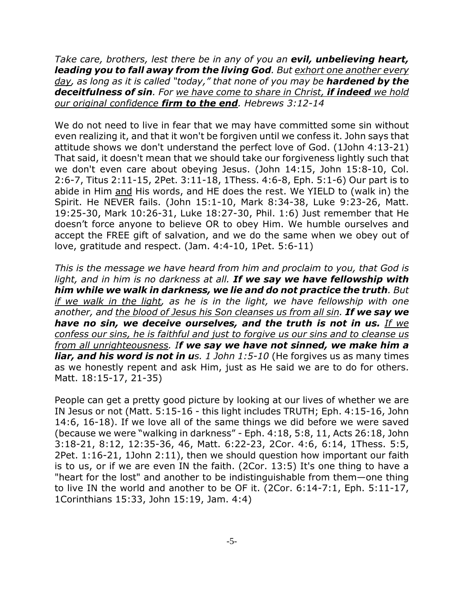*Take care, brothers, lest there be in any of you an evil, unbelieving heart, leading you to fall away from the living God. But exhort one another every day, as long as it is called "today," that none of you may be hardened by the deceitfulness of sin. For we have come to share in Christ, if indeed we hold our original confidence firm to the end. Hebrews 3:12-14*

We do not need to live in fear that we may have committed some sin without even realizing it, and that it won't be forgiven until we confess it. John says that attitude shows we don't understand the perfect love of God. (1John 4:13-21) That said, it doesn't mean that we should take our forgiveness lightly such that we don't even care about obeying Jesus. (John 14:15, John 15:8-10, Col. 2:6-7, Titus 2:11-15, 2Pet. 3:11-18, 1Thess. 4:6-8, Eph. 5:1-6) Our part is to abide in Him and His words, and HE does the rest. We YIELD to (walk in) the Spirit. He NEVER fails. (John 15:1-10, Mark 8:34-38, Luke 9:23-26, Matt. 19:25-30, Mark 10:26-31, Luke 18:27-30, Phil. 1:6) Just remember that He doesn't force anyone to believe OR to obey Him. We humble ourselves and accept the FREE gift of salvation, and we do the same when we obey out of love, gratitude and respect. (Jam. 4:4-10, 1Pet. 5:6-11)

*This is the message we have heard from him and proclaim to you, that God is light, and in him is no darkness at all. If we say we have fellowship with him while we walk in darkness, we lie and do not practice the truth. But if we walk in the light, as he is in the light, we have fellowship with one another, and the blood of Jesus his Son cleanses us from all sin. If we say we have no sin, we deceive ourselves, and the truth is not in us. If we confess our sins, he is faithful and just to forgive us our sins and to cleanse us from all unrighteousness. If we say we have not sinned, we make him a liar, and his word is not in us. 1 John 1:5-10 (He forgives us as many times* as we honestly repent and ask Him, just as He said we are to do for others. Matt. 18:15-17, 21-35)

People can get a pretty good picture by looking at our lives of whether we are IN Jesus or not (Matt. 5:15-16 - this light includes TRUTH; Eph. 4:15-16, John 14:6, 16-18). If we love all of the same things we did before we were saved (because we were "walking in darkness" - Eph. 4:18, 5:8, 11, Acts 26:18, John 3:18-21, 8:12, 12:35-36, 46, Matt. 6:22-23, 2Cor. 4:6, 6:14, 1Thess. 5:5, 2Pet. 1:16-21, 1John 2:11), then we should question how important our faith is to us, or if we are even IN the faith. (2Cor. 13:5) It's one thing to have a "heart for the lost" and another to be indistinguishable from them—one thing to live IN the world and another to be OF it. (2Cor. 6:14-7:1, Eph. 5:11-17, 1Corinthians 15:33, John 15:19, Jam. 4:4)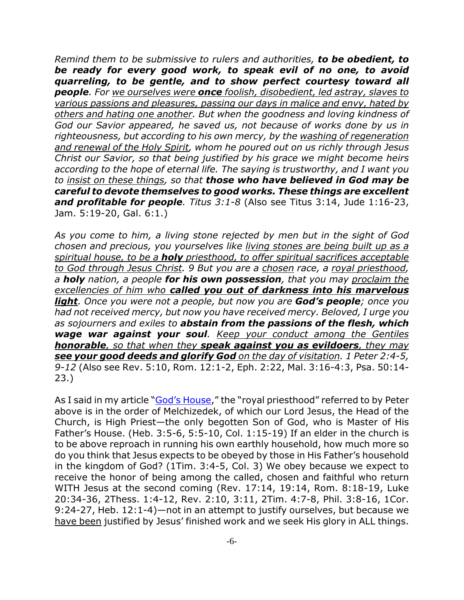*Remind them to be submissive to rulers and authorities, to be obedient, to be ready for every good work, to speak evil of no one, to avoid quarreling, to be gentle, and to show perfect courtesy toward all people. For we ourselves were once foolish, disobedient, led astray, slaves to various passions and pleasures, passing our days in malice and envy, hated by others and hating one another. But when the goodness and loving kindness of God our Savior appeared, he saved us, not because of works done by us in righteousness, but according to his own mercy, by the washing of regeneration and renewal of the Holy Spirit, whom he poured out on us richly through Jesus Christ our Savior, so that being justified by his grace we might become heirs according to the hope of eternal life. The saying is trustworthy, and I want you to insist on these things, so that those who have believed in God may be careful to devote themselves to good works. These things are excellent and profitable for people. Titus 3:1-8* (Also see Titus 3:14, Jude 1:16-23, Jam. 5:19-20, Gal. 6:1.)

*As you come to him, a living stone rejected by men but in the sight of God chosen and precious, you yourselves like living stones are being built up as a spiritual house, to be a holy priesthood, to offer spiritual sacrifices acceptable to God through Jesus Christ. 9 But you are a chosen race, a royal priesthood, a holy nation, a people for his own possession, that you may proclaim the excellencies of him who called you out of darkness into his marvelous light. Once you were not a people, but now you are God's people; once you had not received mercy, but now you have received mercy. Beloved, I urge you as sojourners and exiles to abstain from the passions of the flesh, which wage war against your soul. Keep your conduct among the Gentiles honorable, so that when they speak against you as evildoers, they may see your good deeds and glorify God on the day of visitation. 1 Peter 2:4-5, 9-12* (Also see Rev. 5:10, Rom. 12:1-2, Eph. 2:22, Mal. 3:16-4:3, Psa. 50:14- 23.)

As I said in my article "God's House," the "royal priesthood" referred to by Peter above is in the order of Melchizedek, of which our Lord Jesus, the Head of the Church, is High Priest—the only begotten Son of God, who is Master of His Father's House. (Heb. 3:5-6, 5:5-10, Col. 1:15-19) If an elder in the church is to be above reproach in running his own earthly household, how much more so do you think that Jesus expects to be obeyed by those in His Father's household in the kingdom of God? (1Tim. 3:4-5, Col. 3) We obey because we expect to receive the honor of being among the called, chosen and faithful who return WITH Jesus at the second coming (Rev. 17:14, 19:14, Rom. 8:18-19, Luke 20:34-36, 2Thess. 1:4-12, Rev. 2:10, 3:11, 2Tim. 4:7-8, Phil. 3:8-16, 1Cor. 9:24-27, Heb. 12:1-4)—not in an attempt to justify ourselves, but because we have been justified by Jesus' finished work and we seek His glory in ALL things.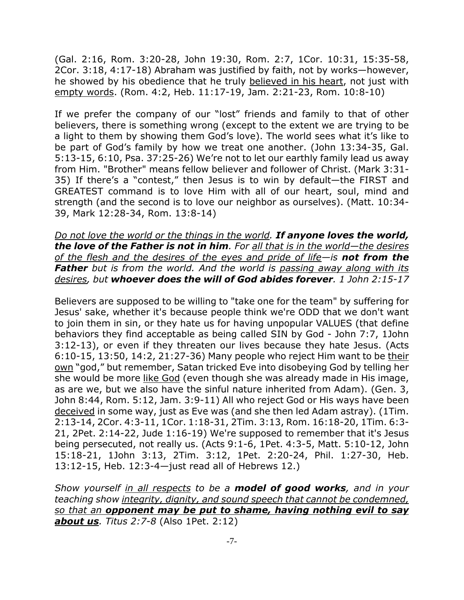(Gal. 2:16, Rom. 3:20-28, John 19:30, Rom. 2:7, 1Cor. 10:31, 15:35-58, 2Cor. 3:18, 4:17-18) Abraham was justified by faith, not by works—however, he showed by his obedience that he truly believed in his heart, not just with empty words. (Rom. 4:2, Heb. 11:17-19, Jam. 2:21-23, Rom. 10:8-10)

If we prefer the company of our "lost" friends and family to that of other believers, there is something wrong (except to the extent we are trying to be a light to them by showing them God's love). The world sees what it's like to be part of God's family by how we treat one another. (John 13:34-35, Gal. 5:13-15, 6:10, Psa. 37:25-26) We're not to let our earthly family lead us away from Him. "Brother" means fellow believer and follower of Christ. (Mark 3:31- 35) If there's a "contest," then Jesus is to win by default—the FIRST and GREATEST command is to love Him with all of our heart, soul, mind and strength (and the second is to love our neighbor as ourselves). (Matt. 10:34- 39, Mark 12:28-34, Rom. 13:8-14)

*Do not love the world or the things in the world. If anyone loves the world, the love of the Father is not in him. For all that is in the world—the desires of the flesh and the desires of the eyes and pride of life—is not from the Father but is from the world. And the world is passing away along with its desires, but whoever does the will of God abides forever. 1 John 2:15-17*

Believers are supposed to be willing to "take one for the team" by suffering for Jesus' sake, whether it's because people think we're ODD that we don't want to join them in sin, or they hate us for having unpopular VALUES (that define behaviors they find acceptable as being called SIN by God - John 7:7, 1John 3:12-13), or even if they threaten our lives because they hate Jesus. (Acts 6:10-15, 13:50, 14:2, 21:27-36) Many people who reject Him want to be their own "god," but remember, Satan tricked Eve into disobeying God by telling her she would be more like God (even though she was already made in His image, as are we, but we also have the sinful nature inherited from Adam). (Gen. 3, John 8:44, Rom. 5:12, Jam. 3:9-11) All who reject God or His ways have been deceived in some way, just as Eve was (and she then led Adam astray). (1Tim. 2:13-14, 2Cor. 4:3-11, 1Cor. 1:18-31, 2Tim. 3:13, Rom. 16:18-20, 1Tim. 6:3- 21, 2Pet. 2:14-22, Jude 1:16-19) We're supposed to remember that it's Jesus being persecuted, not really us. (Acts 9:1-6, 1Pet. 4:3-5, Matt. 5:10-12, John 15:18-21, 1John 3:13, 2Tim. 3:12, 1Pet. 2:20-24, Phil. 1:27-30, Heb. 13:12-15, Heb. 12:3-4—just read all of Hebrews 12.)

*Show yourself in all respects to be a model of good works, and in your teaching show integrity, dignity, and sound speech that cannot be condemned, so that an opponent may be put to shame, having nothing evil to say about us. Titus 2:7-8* (Also 1Pet. 2:12)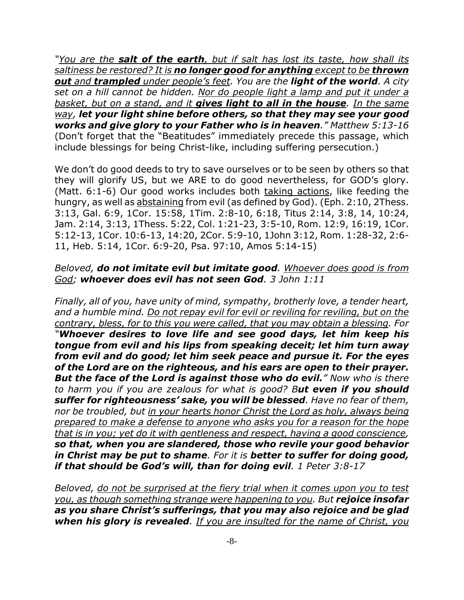*"You are the salt of the earth, but if salt has lost its taste, how shall its saltiness be restored? It is no longer good for anything except to be thrown out and trampled under people's feet. You are the light of the world. A city set on a hill cannot be hidden. Nor do people light a lamp and put it under a basket, but on a stand, and it gives light to all in the house. In the same way, let your light shine before others, so that they may see your good works and give glory to your Father who is in heaven." Matthew 5:13-16* (Don't forget that the "Beatitudes" immediately precede this passage, which include blessings for being Christ-like, including suffering persecution.)

We don't do good deeds to try to save ourselves or to be seen by others so that they will glorify US, but we ARE to do good nevertheless, for GOD's glory. (Matt. 6:1-6) Our good works includes both taking actions, like feeding the hungry, as well as abstaining from evil (as defined by God). (Eph. 2:10, 2Thess. 3:13, Gal. 6:9, 1Cor. 15:58, 1Tim. 2:8-10, 6:18, Titus 2:14, 3:8, 14, 10:24, Jam. 2:14, 3:13, 1Thess. 5:22, Col. 1:21-23, 3:5-10, Rom. 12:9, 16:19, 1Cor. 5:12-13, 1Cor. 10:6-13, 14:20, 2Cor. 5:9-10, 1John 3:12, Rom. 1:28-32, 2:6- 11, Heb. 5:14, 1Cor. 6:9-20, Psa. 97:10, Amos 5:14-15)

## *Beloved, do not imitate evil but imitate good. Whoever does good is from God; whoever does evil has not seen God. 3 John 1:11*

*Finally, all of you, have unity of mind, sympathy, brotherly love, a tender heart, and a humble mind. Do not repay evil for evil or reviling for reviling, but on the contrary, bless, for to this you were called, that you may obtain a blessing. For "Whoever desires to love life and see good days, let him keep his tongue from evil and his lips from speaking deceit; let him turn away from evil and do good; let him seek peace and pursue it. For the eyes of the Lord are on the righteous, and his ears are open to their prayer. But the face of the Lord is against those who do evil." Now who is there to harm you if you are zealous for what is good? But even if you should suffer for righteousness' sake, you will be blessed. Have no fear of them, nor be troubled, but in your hearts honor Christ the Lord as holy, always being prepared to make a defense to anyone who asks you for a reason for the hope that is in you; yet do it with gentleness and respect, having a good conscience, so that, when you are slandered, those who revile your good behavior in Christ may be put to shame. For it is better to suffer for doing good, if that should be God's will, than for doing evil. 1 Peter 3:8-17*

*Beloved, do not be surprised at the fiery trial when it comes upon you to test you, as though something strange were happening to you. But rejoice insofar as you share Christ's sufferings, that you may also rejoice and be glad when his glory is revealed. If you are insulted for the name of Christ, you*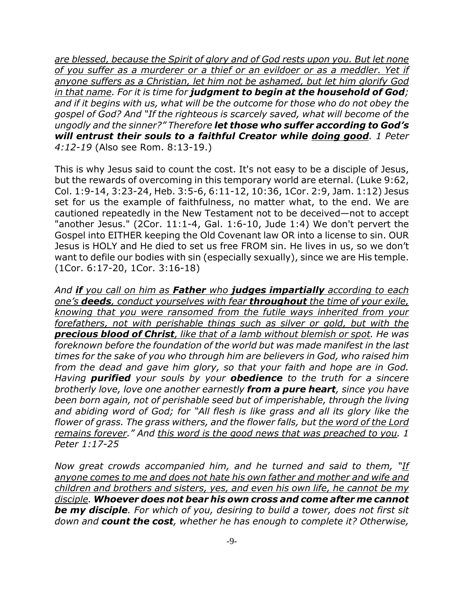*are blessed, because the Spirit of glory and of God rests upon you. But let none of you suffer as a murderer or a thief or an evildoer or as a meddler. Yet if anyone suffers as a Christian, let him not be ashamed, but let him glorify God in that name. For it is time for judgment to begin at the household of God; and if it begins with us, what will be the outcome for those who do not obey the gospel of God? And "If the righteous is scarcely saved, what will become of the ungodly and the sinner?" Therefore let those who suffer according to God's will entrust their souls to a faithful Creator while doing good. 1 Peter 4:12-19* (Also see Rom. 8:13-19.)

This is why Jesus said to count the cost. It's not easy to be a disciple of Jesus, but the rewards of overcoming in this temporary world are eternal. (Luke 9:62, Col. 1:9-14, 3:23-24, Heb. 3:5-6, 6:11-12, 10:36, 1Cor. 2:9, Jam. 1:12) Jesus set for us the example of faithfulness, no matter what, to the end. We are cautioned repeatedly in the New Testament not to be deceived—not to accept "another Jesus." (2Cor. 11:1-4, Gal. 1:6-10, Jude 1:4) We don't pervert the Gospel into EITHER keeping the Old Covenant law OR into a license to sin. OUR Jesus is HOLY and He died to set us free FROM sin. He lives in us, so we don't want to defile our bodies with sin (especially sexually), since we are His temple. (1Cor. 6:17-20, 1Cor. 3:16-18)

*And if you call on him as Father who judges impartially according to each one's deeds, conduct yourselves with fear throughout the time of your exile, knowing that you were ransomed from the futile ways inherited from your forefathers, not with perishable things such as silver or gold, but with the precious blood of Christ, like that of a lamb without blemish or spot. He was foreknown before the foundation of the world but was made manifest in the last times for the sake of you who through him are believers in God, who raised him from the dead and gave him glory, so that your faith and hope are in God. Having purified your souls by your obedience to the truth for a sincere brotherly love, love one another earnestly from a pure heart, since you have been born again, not of perishable seed but of imperishable, through the living and abiding word of God; for "All flesh is like grass and all its glory like the flower of grass. The grass withers, and the flower falls, but the word of the Lord remains forever." And this word is the good news that was preached to you. 1 Peter 1:17-25*

*Now great crowds accompanied him, and he turned and said to them, "If anyone comes to me and does not hate his own father and mother and wife and children and brothers and sisters, yes, and even his own life, he cannot be my disciple. Whoever does not bear his own cross and come after me cannot be my disciple. For which of you, desiring to build a tower, does not first sit down and count the cost, whether he has enough to complete it? Otherwise,*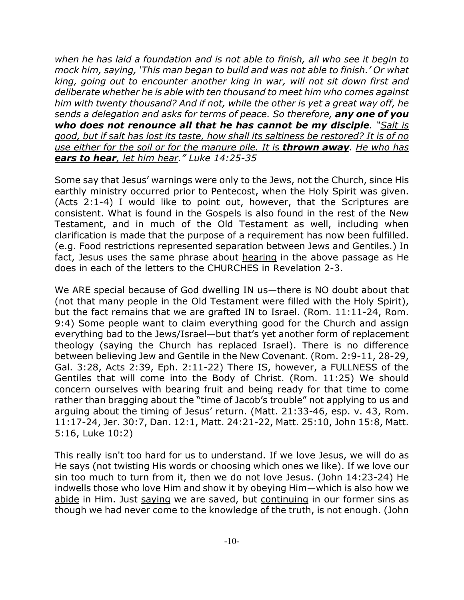*when he has laid a foundation and is not able to finish, all who see it begin to mock him, saying, 'This man began to build and was not able to finish.' Or what king, going out to encounter another king in war, will not sit down first and deliberate whether he is able with ten thousand to meet him who comes against him with twenty thousand? And if not, while the other is yet a great way off, he sends a delegation and asks for terms of peace. So therefore, any one of you who does not renounce all that he has cannot be my disciple. "Salt is good, but if salt has lost its taste, how shall its saltiness be restored? It is of no use either for the soil or for the manure pile. It is thrown away. He who has ears to hear, let him hear." Luke 14:25-35*

Some say that Jesus' warnings were only to the Jews, not the Church, since His earthly ministry occurred prior to Pentecost, when the Holy Spirit was given. (Acts 2:1-4) I would like to point out, however, that the Scriptures are consistent. What is found in the Gospels is also found in the rest of the New Testament, and in much of the Old Testament as well, including when clarification is made that the purpose of a requirement has now been fulfilled. (e.g. Food restrictions represented separation between Jews and Gentiles.) In fact, Jesus uses the same phrase about hearing in the above passage as He does in each of the letters to the CHURCHES in Revelation 2-3.

We ARE special because of God dwelling IN us—there is NO doubt about that (not that many people in the Old Testament were filled with the Holy Spirit), but the fact remains that we are grafted IN to Israel. (Rom. 11:11-24, Rom. 9:4) Some people want to claim everything good for the Church and assign everything bad to the Jews/Israel—but that's yet another form of replacement theology (saying the Church has replaced Israel). There is no difference between believing Jew and Gentile in the New Covenant. (Rom. 2:9-11, 28-29, Gal. 3:28, Acts 2:39, Eph. 2:11-22) There IS, however, a FULLNESS of the Gentiles that will come into the Body of Christ. (Rom. 11:25) We should concern ourselves with bearing fruit and being ready for that time to come rather than bragging about the "time of Jacob's trouble" not applying to us and arguing about the timing of Jesus' return. (Matt. 21:33-46, esp. v. 43, Rom. 11:17-24, Jer. 30:7, Dan. 12:1, Matt. 24:21-22, Matt. 25:10, John 15:8, Matt. 5:16, Luke 10:2)

This really isn't too hard for us to understand. If we love Jesus, we will do as He says (not twisting His words or choosing which ones we like). If we love our sin too much to turn from it, then we do not love Jesus. (John 14:23-24) He indwells those who love Him and show it by obeying Him—which is also how we abide in Him. Just saying we are saved, but continuing in our former sins as though we had never come to the knowledge of the truth, is not enough. (John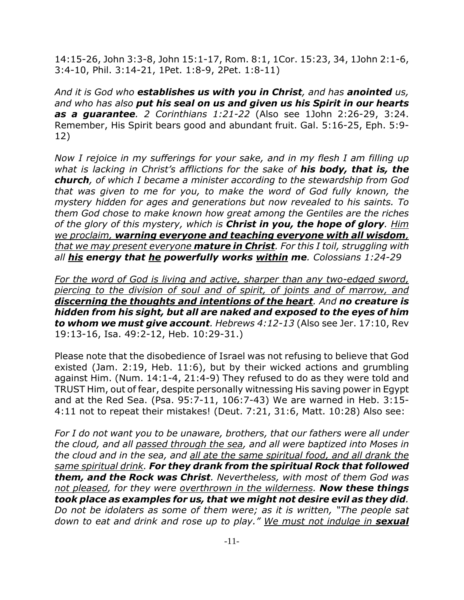14:15-26, John 3:3-8, John 15:1-17, Rom. 8:1, 1Cor. 15:23, 34, 1John 2:1-6, 3:4-10, Phil. 3:14-21, 1Pet. 1:8-9, 2Pet. 1:8-11)

*And it is God who establishes us with you in Christ, and has anointed us, and who has also put his seal on us and given us his Spirit in our hearts as a guarantee. 2 Corinthians 1:21-22* (Also see 1John 2:26-29, 3:24. Remember, His Spirit bears good and abundant fruit. Gal. 5:16-25, Eph. 5:9- 12)

*Now I rejoice in my sufferings for your sake, and in my flesh I am filling up what is lacking in Christ's afflictions for the sake of his body, that is, the church, of which I became a minister according to the stewardship from God that was given to me for you, to make the word of God fully known, the mystery hidden for ages and generations but now revealed to his saints. To them God chose to make known how great among the Gentiles are the riches of the glory of this mystery, which is Christ in you, the hope of glory. Him we proclaim, warning everyone and teaching everyone with all wisdom, that we may present everyone mature in Christ. For this I toil, struggling with all his energy that he powerfully works within me. Colossians 1:24-29*

*For the word of God is living and active, sharper than any two-edged sword, piercing to the division of soul and of spirit, of joints and of marrow, and discerning the thoughts and intentions of the heart. And no creature is hidden from his sight, but all are naked and exposed to the eyes of him to whom we must give account. Hebrews 4:12-13* (Also see Jer. 17:10, Rev 19:13-16, Isa. 49:2-12, Heb. 10:29-31.)

Please note that the disobedience of Israel was not refusing to believe that God existed (Jam. 2:19, Heb. 11:6), but by their wicked actions and grumbling against Him. (Num. 14:1-4, 21:4-9) They refused to do as they were told and TRUST Him, out of fear, despite personally witnessing His saving power in Egypt and at the Red Sea. (Psa. 95:7-11, 106:7-43) We are warned in Heb. 3:15- 4:11 not to repeat their mistakes! (Deut. 7:21, 31:6, Matt. 10:28) Also see:

*For I do not want you to be unaware, brothers, that our fathers were all under the cloud, and all passed through the sea, and all were baptized into Moses in the cloud and in the sea, and all ate the same spiritual food, and all drank the same spiritual drink. For they drank from the spiritual Rock that followed them, and the Rock was Christ. Nevertheless, with most of them God was not pleased, for they were overthrown in the wilderness. Now these things took place as examples for us, that we might not desire evil as they did. Do not be idolaters as some of them were; as it is written, "The people sat* down to eat and drink and rose up to play." We must not indulge in **sexual**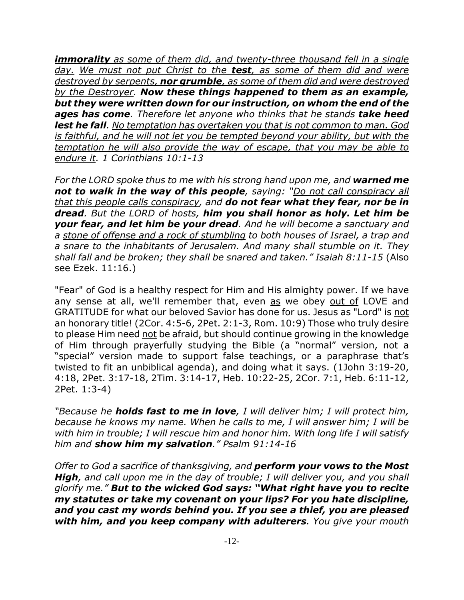*immorality as some of them did, and twenty-three thousand fell in a single day. We must not put Christ to the test, as some of them did and were destroyed by serpents, nor grumble, as some of them did and were destroyed by the Destroyer. Now these things happened to them as an example, but they were written down for our instruction, on whom the end of the ages has come. Therefore let anyone who thinks that he stands take heed lest he fall. No temptation has overtaken you that is not common to man. God is faithful, and he will not let you be tempted beyond your ability, but with the temptation he will also provide the way of escape, that you may be able to endure it. 1 Corinthians 10:1-13*

For the LORD spoke thus to me with his strong hand upon me, and **warned me** *not to walk in the way of this people, saying: "Do not call conspiracy all that this people calls conspiracy, and do not fear what they fear, nor be in dread. But the LORD of hosts, him you shall honor as holy. Let him be your fear, and let him be your dread. And he will become a sanctuary and a stone of offense and a rock of stumbling to both houses of Israel, a trap and a snare to the inhabitants of Jerusalem. And many shall stumble on it. They shall fall and be broken; they shall be snared and taken." Isaiah 8:11-15* (Also see Ezek. 11:16.)

"Fear" of God is a healthy respect for Him and His almighty power. If we have any sense at all, we'll remember that, even as we obey out of LOVE and GRATITUDE for what our beloved Savior has done for us. Jesus as "Lord" is not an honorary title! (2Cor. 4:5-6, 2Pet. 2:1-3, Rom. 10:9) Those who truly desire to please Him need not be afraid, but should continue growing in the knowledge of Him through prayerfully studying the Bible (a "normal" version, not a "special" version made to support false teachings, or a paraphrase that's twisted to fit an unbiblical agenda), and doing what it says. (1John 3:19-20, 4:18, 2Pet. 3:17-18, 2Tim. 3:14-17, Heb. 10:22-25, 2Cor. 7:1, Heb. 6:11-12, 2Pet. 1:3-4)

*"Because he holds fast to me in love, I will deliver him; I will protect him, because he knows my name. When he calls to me, I will answer him; I will be with him in trouble; I will rescue him and honor him. With long life I will satisfy him and show him my salvation." Psalm 91:14-16*

*Offer to God a sacrifice of thanksgiving, and perform your vows to the Most High, and call upon me in the day of trouble; I will deliver you, and you shall glorify me." But to the wicked God says: "What right have you to recite my statutes or take my covenant on your lips? For you hate discipline, and you cast my words behind you. If you see a thief, you are pleased with him, and you keep company with adulterers. You give your mouth*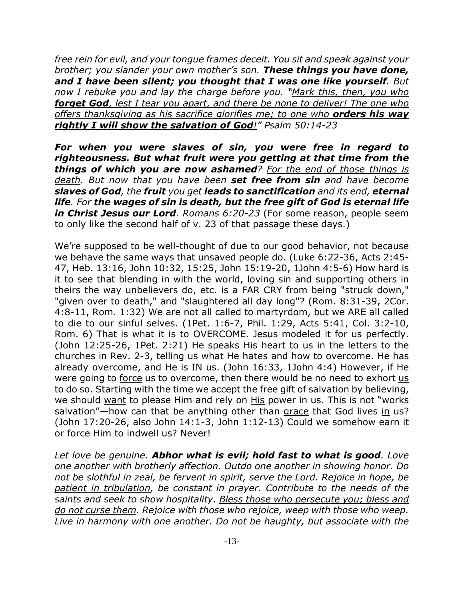*free rein for evil, and your tongue frames deceit. You sit and speak against your brother; you slander your own mother's son. These things you have done, and I have been silent; you thought that I was one like yourself. But now I rebuke you and lay the charge before you. "Mark this, then, you who forget God, lest I tear you apart, and there be none to deliver! The one who offers thanksgiving as his sacrifice glorifies me; to one who orders his way rightly I will show the salvation of God!" Psalm 50:14-23*

*For when you were slaves of sin, you were free in regard to righteousness. But what fruit were you getting at that time from the things of which you are now ashamed? For the end of those things is death. But now that you have been set free from sin and have become slaves of God, the fruit you get leads to sanctification and its end, eternal life. For the wages of sin is death, but the free gift of God is eternal life in Christ Jesus our Lord. Romans 6:20-23* (For some reason, people seem to only like the second half of v. 23 of that passage these days.)

We're supposed to be well-thought of due to our good behavior, not because we behave the same ways that unsaved people do. (Luke 6:22-36, Acts 2:45- 47, Heb. 13:16, John 10:32, 15:25, John 15:19-20, 1John 4:5-6) How hard is it to see that blending in with the world, loving sin and supporting others in theirs the way unbelievers do, etc. is a FAR CRY from being "struck down," "given over to death," and "slaughtered all day long"? (Rom. 8:31-39, 2Cor. 4:8-11, Rom. 1:32) We are not all called to martyrdom, but we ARE all called to die to our sinful selves. (1Pet. 1:6-7, Phil. 1:29, Acts 5:41, Col. 3:2-10, Rom. 6) That is what it is to OVERCOME. Jesus modeled it for us perfectly. (John 12:25-26, 1Pet. 2:21) He speaks His heart to us in the letters to the churches in Rev. 2-3, telling us what He hates and how to overcome. He has already overcome, and He is IN us. (John 16:33, 1John 4:4) However, if He were going to force us to overcome, then there would be no need to exhort us to do so. Starting with the time we accept the free gift of salvation by believing, we should want to please Him and rely on His power in us. This is not "works salvation"—how can that be anything other than grace that God lives in us? (John 17:20-26, also John 14:1-3, John 1:12-13) Could we somehow earn it or force Him to indwell us? Never!

*Let love be genuine. Abhor what is evil; hold fast to what is good. Love one another with brotherly affection. Outdo one another in showing honor. Do not be slothful in zeal, be fervent in spirit, serve the Lord. Rejoice in hope, be patient in tribulation, be constant in prayer. Contribute to the needs of the saints and seek to show hospitality. Bless those who persecute you; bless and do not curse them. Rejoice with those who rejoice, weep with those who weep. Live in harmony with one another. Do not be haughty, but associate with the*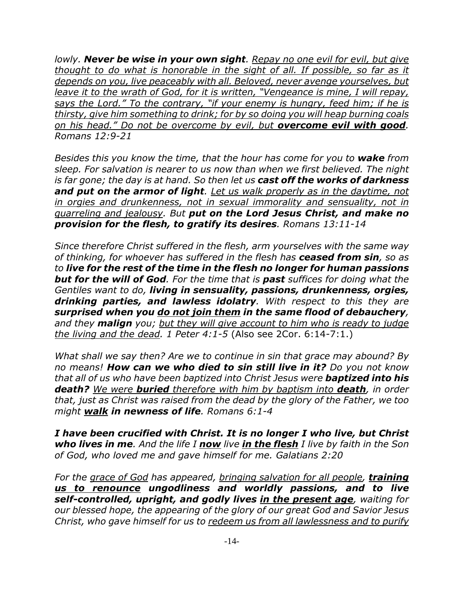*lowly. Never be wise in your own sight. Repay no one evil for evil, but give thought to do what is honorable in the sight of all. If possible, so far as it depends on you, live peaceably with all. Beloved, never avenge yourselves, but leave it to the wrath of God, for it is written, "Vengeance is mine, I will repay, says the Lord." To the contrary, "if your enemy is hungry, feed him; if he is thirsty, give him something to drink; for by so doing you will heap burning coals on his head." Do not be overcome by evil, but overcome evil with good. Romans 12:9-21*

*Besides this you know the time, that the hour has come for you to wake from sleep. For salvation is nearer to us now than when we first believed. The night is far gone; the day is at hand. So then let us cast off the works of darkness and put on the armor of light. Let us walk properly as in the daytime, not in orgies and drunkenness, not in sexual immorality and sensuality, not in quarreling and jealousy. But put on the Lord Jesus Christ, and make no provision for the flesh, to gratify its desires. Romans 13:11-14*

*Since therefore Christ suffered in the flesh, arm yourselves with the same way of thinking, for whoever has suffered in the flesh has ceased from sin, so as to live for the rest of the time in the flesh no longer for human passions but for the will of God. For the time that is past suffices for doing what the Gentiles want to do, living in sensuality, passions, drunkenness, orgies, drinking parties, and lawless idolatry. With respect to this they are surprised when you do not join them in the same flood of debauchery, and they malign you; but they will give account to him who is ready to judge the living and the dead. 1 Peter 4:1-5* (Also see 2Cor. 6:14-7:1.)

*What shall we say then? Are we to continue in sin that grace may abound? By no means! How can we who died to sin still live in it? Do you not know that all of us who have been baptized into Christ Jesus were baptized into his death? We were buried therefore with him by baptism into death, in order that, just as Christ was raised from the dead by the glory of the Father, we too might walk in newness of life. Romans 6:1-4*

*I have been crucified with Christ. It is no longer I who live, but Christ who lives in me. And the life I now live in the flesh I live by faith in the Son of God, who loved me and gave himself for me. Galatians 2:20*

*For the grace of God has appeared, bringing salvation for all people, training us to renounce ungodliness and worldly passions, and to live self-controlled, upright, and godly lives in the present age, waiting for our blessed hope, the appearing of the glory of our great God and Savior Jesus Christ, who gave himself for us to redeem us from all lawlessness and to purify*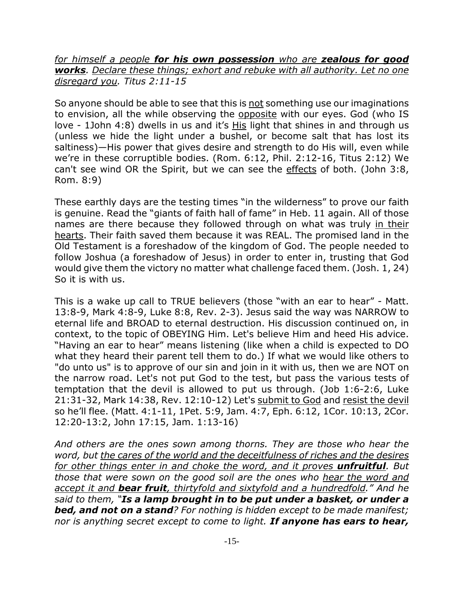*for himself a people for his own possession who are zealous for good works. Declare these things; exhort and rebuke with all authority. Let no one disregard you. Titus 2:11-15*

So anyone should be able to see that this is not something use our imaginations to envision, all the while observing the opposite with our eyes. God (who IS love - 1John 4:8) dwells in us and it's His light that shines in and through us (unless we hide the light under a bushel, or become salt that has lost its saltiness)—His power that gives desire and strength to do His will, even while we're in these corruptible bodies. (Rom. 6:12, Phil. 2:12-16, Titus 2:12) We can't see wind OR the Spirit, but we can see the effects of both. (John 3:8, Rom. 8:9)

These earthly days are the testing times "in the wilderness" to prove our faith is genuine. Read the "giants of faith hall of fame" in Heb. 11 again. All of those names are there because they followed through on what was truly in their hearts. Their faith saved them because it was REAL. The promised land in the Old Testament is a foreshadow of the kingdom of God. The people needed to follow Joshua (a foreshadow of Jesus) in order to enter in, trusting that God would give them the victory no matter what challenge faced them. (Josh. 1, 24) So it is with us.

This is a wake up call to TRUE believers (those "with an ear to hear" - Matt. 13:8-9, Mark 4:8-9, Luke 8:8, Rev. 2-3). Jesus said the way was NARROW to eternal life and BROAD to eternal destruction. His discussion continued on, in context, to the topic of OBEYING Him. Let's believe Him and heed His advice. "Having an ear to hear" means listening (like when a child is expected to DO what they heard their parent tell them to do.) If what we would like others to "do unto us" is to approve of our sin and join in it with us, then we are NOT on the narrow road. Let's not put God to the test, but pass the various tests of temptation that the devil is allowed to put us through. (Job 1:6-2:6, Luke 21:31-32, Mark 14:38, Rev. 12:10-12) Let's submit to God and resist the devil so he'll flee. (Matt. 4:1-11, 1Pet. 5:9, Jam. 4:7, Eph. 6:12, 1Cor. 10:13, 2Cor. 12:20-13:2, John 17:15, Jam. 1:13-16)

*And others are the ones sown among thorns. They are those who hear the word, but the cares of the world and the deceitfulness of riches and the desires for other things enter in and choke the word, and it proves unfruitful. But those that were sown on the good soil are the ones who hear the word and accept it and bear fruit, thirtyfold and sixtyfold and a hundredfold." And he said to them, "Is a lamp brought in to be put under a basket, or under a bed, and not on a stand? For nothing is hidden except to be made manifest; nor is anything secret except to come to light. If anyone has ears to hear,*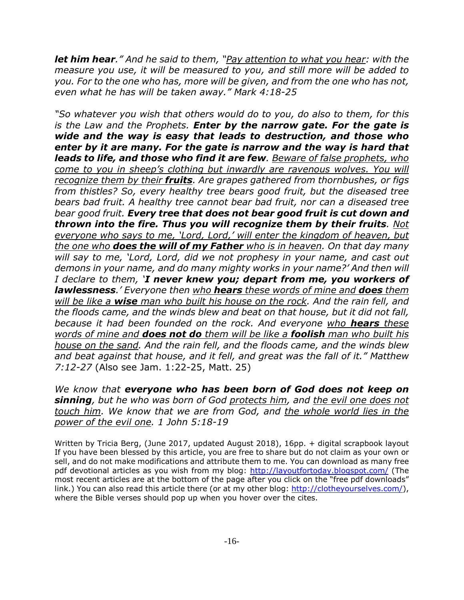*let him hear." And he said to them, "Pay attention to what you hear: with the measure you use, it will be measured to you, and still more will be added to you. For to the one who has, more will be given, and from the one who has not, even what he has will be taken away." Mark 4:18-25*

*"So whatever you wish that others would do to you, do also to them, for this is the Law and the Prophets. Enter by the narrow gate. For the gate is wide and the way is easy that leads to destruction, and those who enter by it are many. For the gate is narrow and the way is hard that leads to life, and those who find it are few. Beware of false prophets, who come to you in sheep's clothing but inwardly are ravenous wolves. You will recognize them by their fruits. Are grapes gathered from thornbushes, or figs from thistles? So, every healthy tree bears good fruit, but the diseased tree bears bad fruit. A healthy tree cannot bear bad fruit, nor can a diseased tree bear good fruit. Every tree that does not bear good fruit is cut down and thrown into the fire. Thus you will recognize them by their fruits. Not everyone who says to me, 'Lord, Lord,' will enter the kingdom of heaven, but the one who does the will of my Father who is in heaven. On that day many will say to me, 'Lord, Lord, did we not prophesy in your name, and cast out demons in your name, and do many mighty works in your name?' And then will I declare to them, 'I never knew you; depart from me, you workers of lawlessness.' Everyone then who hears these words of mine and does them will be like a wise man who built his house on the rock. And the rain fell, and the floods came, and the winds blew and beat on that house, but it did not fall, because it had been founded on the rock. And everyone who hears these words of mine and does not do them will be like a foolish man who built his house on the sand. And the rain fell, and the floods came, and the winds blew and beat against that house, and it fell, and great was the fall of it." Matthew 7:12-27* (Also see Jam. 1:22-25, Matt. 25)

*We know that everyone who has been born of God does not keep on sinning, but he who was born of God protects him, and the evil one does not touch him. We know that we are from God, and the whole world lies in the power of the evil one. 1 John 5:18-19*

Written by Tricia Berg, (June 2017, updated August 2018), 16pp. + digital scrapbook layout If you have been blessed by this article, you are free to share but do not claim as your own or sell, and do not make modifications and attribute them to me. You can download as many free pdf devotional articles as you wish from my blog: http://layoutfortoday.blogspot.com/ (The most recent articles are at the bottom of the page after you click on the "free pdf downloads" link.) You can also read this article there (or at my other blog: http://clotheyourselves.com/), where the Bible verses should pop up when you hover over the cites.